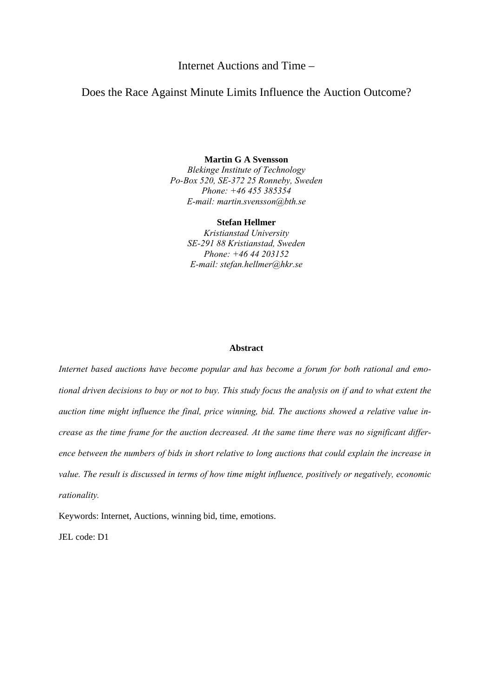Internet Auctions and Time –

# Does the Race Against Minute Limits Influence the Auction Outcome?

**Martin G A Svensson**  *Blekinge Institute of Technology Po-Box 520, SE-372 25 Ronneby, Sweden Phone: +46 455 385354 E-mail: martin.svensson@bth.se* 

**Stefan Hellmer**

*Kristianstad University SE-291 88 Kristianstad, Sweden Phone: +46 44 203152 E-mail: stefan.hellmer@hkr.se* 

# **Abstract**

*Internet based auctions have become popular and has become a forum for both rational and emotional driven decisions to buy or not to buy. This study focus the analysis on if and to what extent the auction time might influence the final, price winning, bid. The auctions showed a relative value increase as the time frame for the auction decreased. At the same time there was no significant difference between the numbers of bids in short relative to long auctions that could explain the increase in value. The result is discussed in terms of how time might influence, positively or negatively, economic rationality.* 

Keywords: Internet, Auctions, winning bid, time, emotions.

JEL code: D1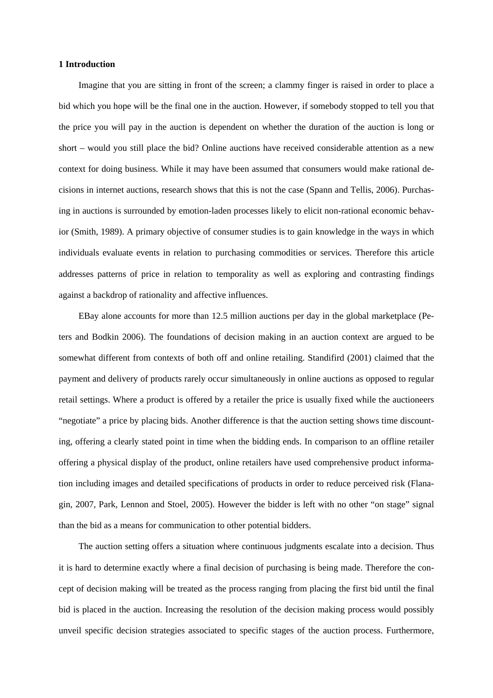# **1 Introduction**

Imagine that you are sitting in front of the screen; a clammy finger is raised in order to place a bid which you hope will be the final one in the auction. However, if somebody stopped to tell you that the price you will pay in the auction is dependent on whether the duration of the auction is long or short – would you still place the bid? Online auctions have received considerable attention as a new context for doing business. While it may have been assumed that consumers would make rational decisions in internet auctions, research shows that this is not the case (Spann and Tellis, 2006). Purchasing in auctions is surrounded by emotion-laden processes likely to elicit non-rational economic behavior (Smith, 1989). A primary objective of consumer studies is to gain knowledge in the ways in which individuals evaluate events in relation to purchasing commodities or services. Therefore this article addresses patterns of price in relation to temporality as well as exploring and contrasting findings against a backdrop of rationality and affective influences.

EBay alone accounts for more than 12.5 million auctions per day in the global marketplace (Peters and Bodkin 2006). The foundations of decision making in an auction context are argued to be somewhat different from contexts of both off and online retailing. Standifird (2001) claimed that the payment and delivery of products rarely occur simultaneously in online auctions as opposed to regular retail settings. Where a product is offered by a retailer the price is usually fixed while the auctioneers "negotiate" a price by placing bids. Another difference is that the auction setting shows time discounting, offering a clearly stated point in time when the bidding ends. In comparison to an offline retailer offering a physical display of the product, online retailers have used comprehensive product information including images and detailed specifications of products in order to reduce perceived risk (Flanagin, 2007, Park, Lennon and Stoel, 2005). However the bidder is left with no other "on stage" signal than the bid as a means for communication to other potential bidders.

The auction setting offers a situation where continuous judgments escalate into a decision. Thus it is hard to determine exactly where a final decision of purchasing is being made. Therefore the concept of decision making will be treated as the process ranging from placing the first bid until the final bid is placed in the auction. Increasing the resolution of the decision making process would possibly unveil specific decision strategies associated to specific stages of the auction process. Furthermore,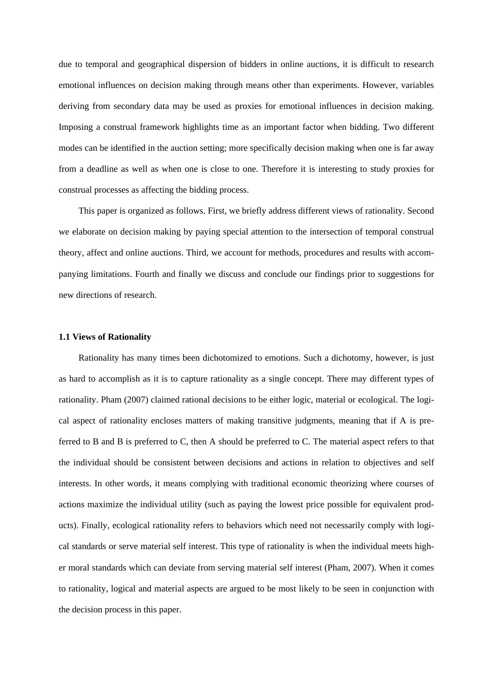due to temporal and geographical dispersion of bidders in online auctions, it is difficult to research emotional influences on decision making through means other than experiments. However, variables deriving from secondary data may be used as proxies for emotional influences in decision making. Imposing a construal framework highlights time as an important factor when bidding. Two different modes can be identified in the auction setting; more specifically decision making when one is far away from a deadline as well as when one is close to one. Therefore it is interesting to study proxies for construal processes as affecting the bidding process.

This paper is organized as follows. First, we briefly address different views of rationality. Second we elaborate on decision making by paying special attention to the intersection of temporal construal theory, affect and online auctions. Third, we account for methods, procedures and results with accompanying limitations. Fourth and finally we discuss and conclude our findings prior to suggestions for new directions of research.

#### **1.1 Views of Rationality**

Rationality has many times been dichotomized to emotions. Such a dichotomy, however, is just as hard to accomplish as it is to capture rationality as a single concept. There may different types of rationality. Pham (2007) claimed rational decisions to be either logic, material or ecological. The logical aspect of rationality encloses matters of making transitive judgments, meaning that if A is preferred to B and B is preferred to C, then A should be preferred to C. The material aspect refers to that the individual should be consistent between decisions and actions in relation to objectives and self interests. In other words, it means complying with traditional economic theorizing where courses of actions maximize the individual utility (such as paying the lowest price possible for equivalent products). Finally, ecological rationality refers to behaviors which need not necessarily comply with logical standards or serve material self interest. This type of rationality is when the individual meets higher moral standards which can deviate from serving material self interest (Pham, 2007). When it comes to rationality, logical and material aspects are argued to be most likely to be seen in conjunction with the decision process in this paper.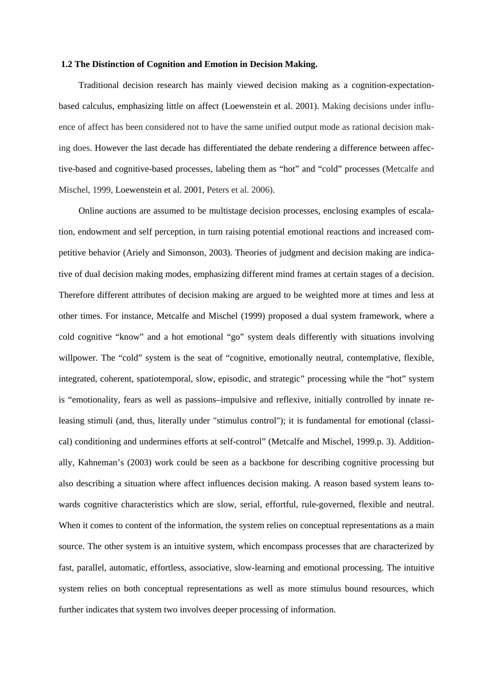### **1.2 The Distinction of Cognition and Emotion in Decision Making.**

Traditional decision research has mainly viewed decision making as a cognition-expectationbased calculus, emphasizing little on affect (Loewenstein et al. 2001). Making decisions under influence of affect has been considered not to have the same unified output mode as rational decision making does. However the last decade has differentiated the debate rendering a difference between affective-based and cognitive-based processes, labeling them as "hot" and "cold" processes (Metcalfe and Mischel, 1999, Loewenstein et al. 2001, Peters et al. 2006).

Online auctions are assumed to be multistage decision processes, enclosing examples of escalation, endowment and self perception, in turn raising potential emotional reactions and increased competitive behavior (Ariely and Simonson, 2003). Theories of judgment and decision making are indicative of dual decision making modes, emphasizing different mind frames at certain stages of a decision. Therefore different attributes of decision making are argued to be weighted more at times and less at other times. For instance, Metcalfe and Mischel (1999) proposed a dual system framework, where a cold cognitive "know" and a hot emotional "go" system deals differently with situations involving willpower. The "cold" system is the seat of "cognitive, emotionally neutral, contemplative, flexible, integrated, coherent, spatiotemporal, slow, episodic, and strategic" processing while the "hot" system is "emotionality, fears as well as passions–impulsive and reflexive, initially controlled by innate releasing stimuli (and, thus, literally under "stimulus control"); it is fundamental for emotional (classical) conditioning and undermines efforts at self-control" (Metcalfe and Mischel, 1999.p. 3). Additionally, Kahneman's (2003) work could be seen as a backbone for describing cognitive processing but also describing a situation where affect influences decision making. A reason based system leans towards cognitive characteristics which are slow, serial, effortful, rule-governed, flexible and neutral. When it comes to content of the information, the system relies on conceptual representations as a main source. The other system is an intuitive system, which encompass processes that are characterized by fast, parallel, automatic, effortless, associative, slow-learning and emotional processing. The intuitive system relies on both conceptual representations as well as more stimulus bound resources, which further indicates that system two involves deeper processing of information.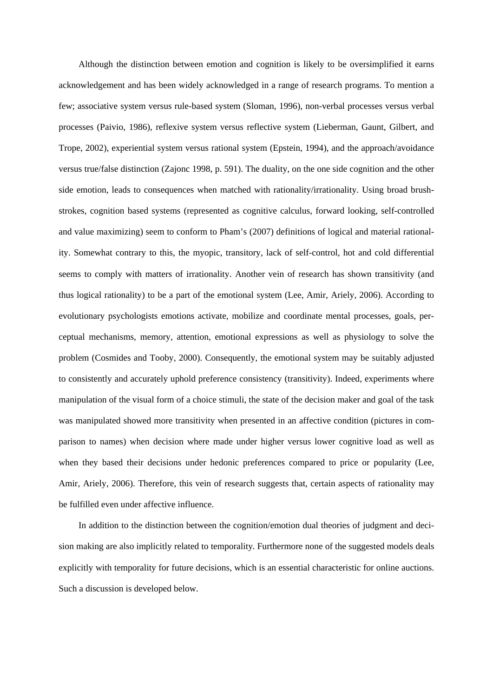Although the distinction between emotion and cognition is likely to be oversimplified it earns acknowledgement and has been widely acknowledged in a range of research programs. To mention a few; associative system versus rule-based system (Sloman, 1996), non-verbal processes versus verbal processes (Paivio, 1986), reflexive system versus reflective system (Lieberman, Gaunt, Gilbert, and Trope, 2002), experiential system versus rational system (Epstein, 1994), and the approach/avoidance versus true/false distinction (Zajonc 1998, p. 591). The duality, on the one side cognition and the other side emotion, leads to consequences when matched with rationality/irrationality. Using broad brushstrokes, cognition based systems (represented as cognitive calculus, forward looking, self-controlled and value maximizing) seem to conform to Pham's (2007) definitions of logical and material rationality. Somewhat contrary to this, the myopic, transitory, lack of self-control, hot and cold differential seems to comply with matters of irrationality. Another vein of research has shown transitivity (and thus logical rationality) to be a part of the emotional system (Lee, Amir, Ariely, 2006). According to evolutionary psychologists emotions activate, mobilize and coordinate mental processes, goals, perceptual mechanisms, memory, attention, emotional expressions as well as physiology to solve the problem (Cosmides and Tooby, 2000). Consequently, the emotional system may be suitably adjusted to consistently and accurately uphold preference consistency (transitivity). Indeed, experiments where manipulation of the visual form of a choice stimuli, the state of the decision maker and goal of the task was manipulated showed more transitivity when presented in an affective condition (pictures in comparison to names) when decision where made under higher versus lower cognitive load as well as when they based their decisions under hedonic preferences compared to price or popularity (Lee, Amir, Ariely, 2006). Therefore, this vein of research suggests that, certain aspects of rationality may be fulfilled even under affective influence.

In addition to the distinction between the cognition/emotion dual theories of judgment and decision making are also implicitly related to temporality. Furthermore none of the suggested models deals explicitly with temporality for future decisions, which is an essential characteristic for online auctions. Such a discussion is developed below.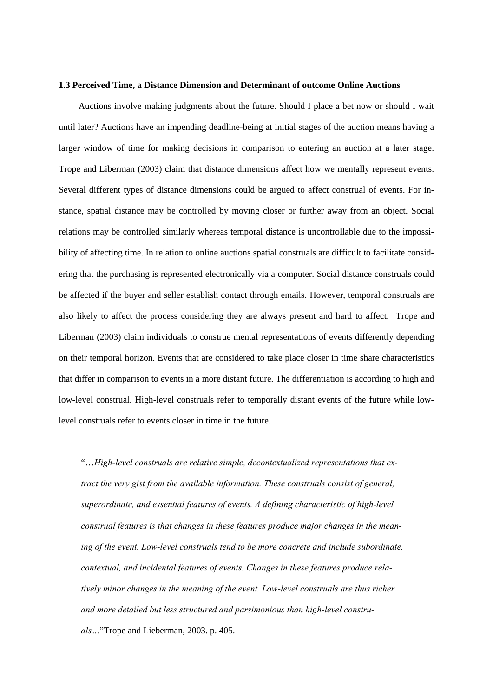#### **1.3 Perceived Time, a Distance Dimension and Determinant of outcome Online Auctions**

Auctions involve making judgments about the future. Should I place a bet now or should I wait until later? Auctions have an impending deadline-being at initial stages of the auction means having a larger window of time for making decisions in comparison to entering an auction at a later stage. Trope and Liberman (2003) claim that distance dimensions affect how we mentally represent events. Several different types of distance dimensions could be argued to affect construal of events. For instance, spatial distance may be controlled by moving closer or further away from an object. Social relations may be controlled similarly whereas temporal distance is uncontrollable due to the impossibility of affecting time. In relation to online auctions spatial construals are difficult to facilitate considering that the purchasing is represented electronically via a computer. Social distance construals could be affected if the buyer and seller establish contact through emails. However, temporal construals are also likely to affect the process considering they are always present and hard to affect. Trope and Liberman (2003) claim individuals to construe mental representations of events differently depending on their temporal horizon. Events that are considered to take place closer in time share characteristics that differ in comparison to events in a more distant future. The differentiation is according to high and low-level construal. High-level construals refer to temporally distant events of the future while lowlevel construals refer to events closer in time in the future.

"…*High-level construals are relative simple, decontextualized representations that extract the very gist from the available information. These construals consist of general, superordinate, and essential features of events. A defining characteristic of high-level construal features is that changes in these features produce major changes in the meaning of the event. Low-level construals tend to be more concrete and include subordinate, contextual, and incidental features of events. Changes in these features produce relatively minor changes in the meaning of the event. Low-level construals are thus richer and more detailed but less structured and parsimonious than high-level construals…*"Trope and Lieberman, 2003. p. 405.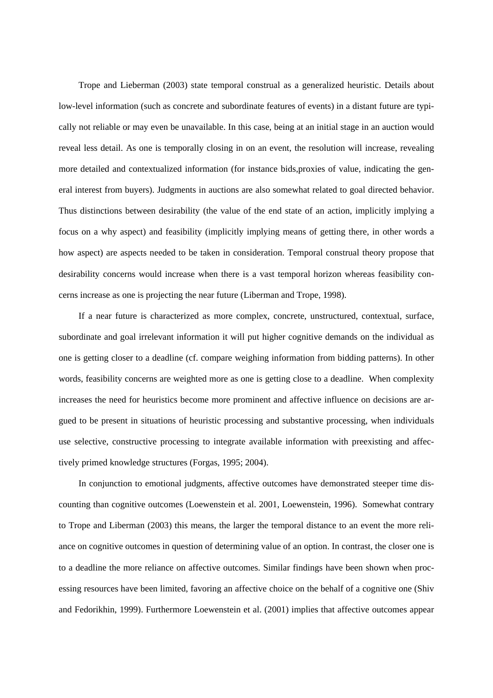Trope and Lieberman (2003) state temporal construal as a generalized heuristic. Details about low-level information (such as concrete and subordinate features of events) in a distant future are typically not reliable or may even be unavailable. In this case, being at an initial stage in an auction would reveal less detail. As one is temporally closing in on an event, the resolution will increase, revealing more detailed and contextualized information (for instance bids,proxies of value, indicating the general interest from buyers). Judgments in auctions are also somewhat related to goal directed behavior. Thus distinctions between desirability (the value of the end state of an action, implicitly implying a focus on a why aspect) and feasibility (implicitly implying means of getting there, in other words a how aspect) are aspects needed to be taken in consideration. Temporal construal theory propose that desirability concerns would increase when there is a vast temporal horizon whereas feasibility concerns increase as one is projecting the near future (Liberman and Trope, 1998).

If a near future is characterized as more complex, concrete, unstructured, contextual, surface, subordinate and goal irrelevant information it will put higher cognitive demands on the individual as one is getting closer to a deadline (cf. compare weighing information from bidding patterns). In other words, feasibility concerns are weighted more as one is getting close to a deadline. When complexity increases the need for heuristics become more prominent and affective influence on decisions are argued to be present in situations of heuristic processing and substantive processing, when individuals use selective, constructive processing to integrate available information with preexisting and affectively primed knowledge structures (Forgas, 1995; 2004).

In conjunction to emotional judgments, affective outcomes have demonstrated steeper time discounting than cognitive outcomes (Loewenstein et al. 2001, Loewenstein, 1996). Somewhat contrary to Trope and Liberman (2003) this means, the larger the temporal distance to an event the more reliance on cognitive outcomes in question of determining value of an option. In contrast, the closer one is to a deadline the more reliance on affective outcomes. Similar findings have been shown when processing resources have been limited, favoring an affective choice on the behalf of a cognitive one (Shiv and Fedorikhin, 1999). Furthermore Loewenstein et al. (2001) implies that affective outcomes appear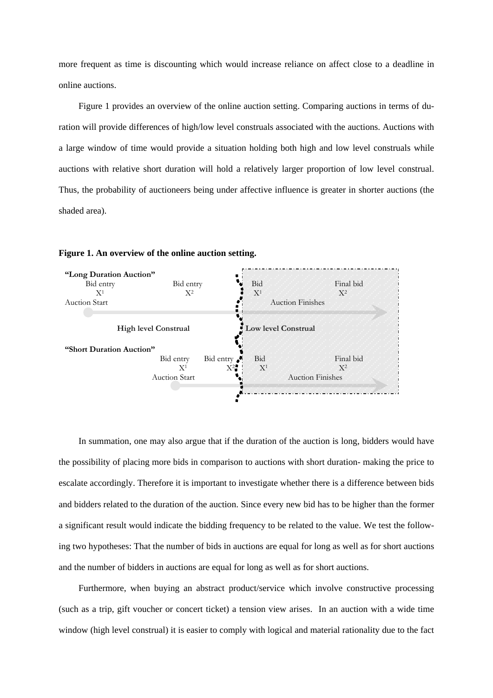more frequent as time is discounting which would increase reliance on affect close to a deadline in online auctions.

Figure 1 provides an overview of the online auction setting. Comparing auctions in terms of duration will provide differences of high/low level construals associated with the auctions. Auctions with a large window of time would provide a situation holding both high and low level construals while auctions with relative short duration will hold a relatively larger proportion of low level construal. Thus, the probability of auctioneers being under affective influence is greater in shorter auctions (the shaded area).



**Figure 1. An overview of the online auction setting.** 

In summation, one may also argue that if the duration of the auction is long, bidders would have the possibility of placing more bids in comparison to auctions with short duration- making the price to escalate accordingly. Therefore it is important to investigate whether there is a difference between bids and bidders related to the duration of the auction. Since every new bid has to be higher than the former a significant result would indicate the bidding frequency to be related to the value. We test the following two hypotheses: That the number of bids in auctions are equal for long as well as for short auctions and the number of bidders in auctions are equal for long as well as for short auctions.

Furthermore, when buying an abstract product/service which involve constructive processing (such as a trip, gift voucher or concert ticket) a tension view arises. In an auction with a wide time window (high level construal) it is easier to comply with logical and material rationality due to the fact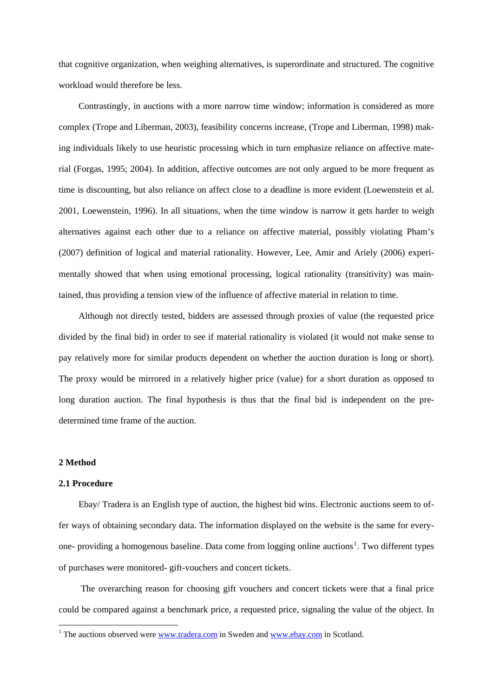that cognitive organization, when weighing alternatives, is superordinate and structured. The cognitive workload would therefore be less.

Contrastingly, in auctions with a more narrow time window; information is considered as more complex (Trope and Liberman, 2003), feasibility concerns increase, (Trope and Liberman, 1998) making individuals likely to use heuristic processing which in turn emphasize reliance on affective material (Forgas, 1995; 2004). In addition, affective outcomes are not only argued to be more frequent as time is discounting, but also reliance on affect close to a deadline is more evident (Loewenstein et al. 2001, Loewenstein, 1996). In all situations, when the time window is narrow it gets harder to weigh alternatives against each other due to a reliance on affective material, possibly violating Pham's (2007) definition of logical and material rationality. However, Lee, Amir and Ariely (2006) experimentally showed that when using emotional processing, logical rationality (transitivity) was maintained, thus providing a tension view of the influence of affective material in relation to time.

Although not directly tested, bidders are assessed through proxies of value (the requested price divided by the final bid) in order to see if material rationality is violated (it would not make sense to pay relatively more for similar products dependent on whether the auction duration is long or short). The proxy would be mirrored in a relatively higher price (value) for a short duration as opposed to long duration auction. The final hypothesis is thus that the final bid is independent on the predetermined time frame of the auction.

### **2 Method**

1

## **2.1 Procedure**

Ebay/ Tradera is an English type of auction, the highest bid wins. Electronic auctions seem to offer ways of obtaining secondary data. The information displayed on the website is the same for every-one- providing a homogenous baseline. Data come from logging online auctions<sup>[1](#page-8-0)</sup>. Two different types of purchases were monitored- gift-vouchers and concert tickets.

 The overarching reason for choosing gift vouchers and concert tickets were that a final price could be compared against a benchmark price, a requested price, signaling the value of the object. In

<span id="page-8-0"></span><sup>&</sup>lt;sup>1</sup> The auctions observed were  $\frac{www.tradera.com}{m}$  in Sweden and  $\frac{www.ebay.com}{m}$  $\frac{www.ebay.com}{m}$  $\frac{www.ebay.com}{m}$  in Scotland.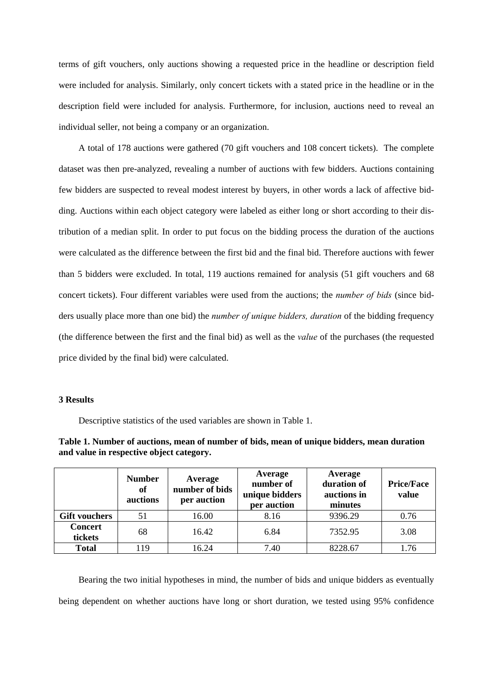terms of gift vouchers, only auctions showing a requested price in the headline or description field were included for analysis. Similarly, only concert tickets with a stated price in the headline or in the description field were included for analysis. Furthermore, for inclusion, auctions need to reveal an individual seller, not being a company or an organization.

A total of 178 auctions were gathered (70 gift vouchers and 108 concert tickets). The complete dataset was then pre-analyzed, revealing a number of auctions with few bidders. Auctions containing few bidders are suspected to reveal modest interest by buyers, in other words a lack of affective bidding. Auctions within each object category were labeled as either long or short according to their distribution of a median split. In order to put focus on the bidding process the duration of the auctions were calculated as the difference between the first bid and the final bid. Therefore auctions with fewer than 5 bidders were excluded. In total, 119 auctions remained for analysis (51 gift vouchers and 68 concert tickets). Four different variables were used from the auctions; the *number of bids* (since bidders usually place more than one bid) the *number of unique bidders, duration* of the bidding frequency (the difference between the first and the final bid) as well as the *value* of the purchases (the requested price divided by the final bid) were calculated.

## **3 Results**

Descriptive statistics of the used variables are shown in Table 1.

| Table 1. Number of auctions, mean of number of bids, mean of unique bidders, mean duration |  |  |  |
|--------------------------------------------------------------------------------------------|--|--|--|
| and value in respective object category.                                                   |  |  |  |

|                           | <b>Number</b><br>of<br>auctions | Average<br>number of bids<br>per auction | Average<br>number of<br>unique bidders<br>per auction | Average<br>duration of<br>auctions in<br>minutes | <b>Price/Face</b><br>value |
|---------------------------|---------------------------------|------------------------------------------|-------------------------------------------------------|--------------------------------------------------|----------------------------|
| <b>Gift vouchers</b>      | 51                              | 16.00                                    | 8.16                                                  | 9396.29                                          | 0.76                       |
| <b>Concert</b><br>tickets | 68                              | 16.42                                    | 6.84                                                  | 7352.95                                          | 3.08                       |
| <b>Total</b>              | 19                              | 16.24                                    | 7.40                                                  | 8228.67                                          | 1.76                       |

Bearing the two initial hypotheses in mind, the number of bids and unique bidders as eventually being dependent on whether auctions have long or short duration, we tested using 95% confidence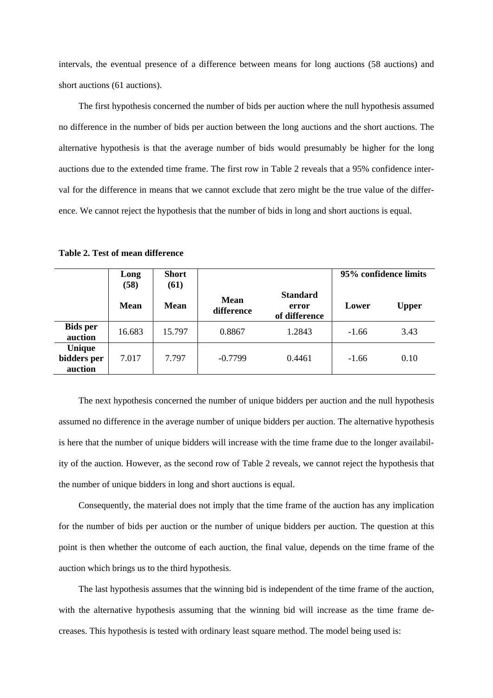intervals, the eventual presence of a difference between means for long auctions (58 auctions) and short auctions (61 auctions).

The first hypothesis concerned the number of bids per auction where the null hypothesis assumed no difference in the number of bids per auction between the long auctions and the short auctions. The alternative hypothesis is that the average number of bids would presumably be higher for the long auctions due to the extended time frame. The first row in Table 2 reveals that a 95% confidence interval for the difference in means that we cannot exclude that zero might be the true value of the difference. We cannot reject the hypothesis that the number of bids in long and short auctions is equal.

|                                  | Long<br>(58) | <b>Short</b><br>(61) |                    |                                           | 95% confidence limits |              |
|----------------------------------|--------------|----------------------|--------------------|-------------------------------------------|-----------------------|--------------|
|                                  | <b>Mean</b>  | <b>Mean</b>          | Mean<br>difference | <b>Standard</b><br>error<br>of difference | Lower                 | <b>Upper</b> |
| <b>Bids per</b><br>auction       | 16.683       | 15.797               | 0.8867             | 1.2843                                    | $-1.66$               | 3.43         |
| Unique<br>bidders per<br>auction | 7.017        | 7.797                | $-0.7799$          | 0.4461                                    | $-1.66$               | 0.10         |

**Table 2. Test of mean difference** 

The next hypothesis concerned the number of unique bidders per auction and the null hypothesis assumed no difference in the average number of unique bidders per auction. The alternative hypothesis is here that the number of unique bidders will increase with the time frame due to the longer availability of the auction. However, as the second row of Table 2 reveals, we cannot reject the hypothesis that the number of unique bidders in long and short auctions is equal.

Consequently, the material does not imply that the time frame of the auction has any implication for the number of bids per auction or the number of unique bidders per auction. The question at this point is then whether the outcome of each auction, the final value, depends on the time frame of the auction which brings us to the third hypothesis.

The last hypothesis assumes that the winning bid is independent of the time frame of the auction, with the alternative hypothesis assuming that the winning bid will increase as the time frame decreases. This hypothesis is tested with ordinary least square method. The model being used is: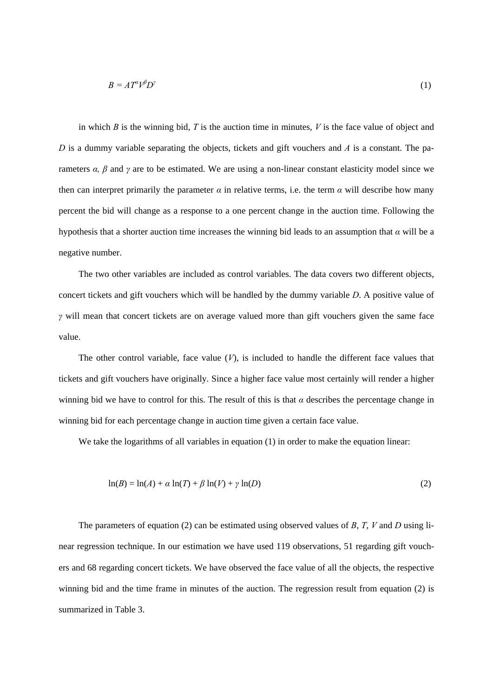$$
B = A T^a V^b D^y \tag{1}
$$

in which  $B$  is the winning bid,  $T$  is the auction time in minutes,  $V$  is the face value of object and *D* is a dummy variable separating the objects, tickets and gift vouchers and *A* is a constant. The parameters *α*, *β* and *γ* are to be estimated. We are using a non-linear constant elasticity model since we then can interpret primarily the parameter  $\alpha$  in relative terms, i.e. the term  $\alpha$  will describe how many percent the bid will change as a response to a one percent change in the auction time. Following the hypothesis that a shorter auction time increases the winning bid leads to an assumption that *α* will be a negative number.

The two other variables are included as control variables. The data covers two different objects, concert tickets and gift vouchers which will be handled by the dummy variable *D*. A positive value of *γ* will mean that concert tickets are on average valued more than gift vouchers given the same face value.

The other control variable, face value  $(V)$ , is included to handle the different face values that tickets and gift vouchers have originally. Since a higher face value most certainly will render a higher winning bid we have to control for this. The result of this is that  $\alpha$  describes the percentage change in winning bid for each percentage change in auction time given a certain face value.

We take the logarithms of all variables in equation (1) in order to make the equation linear:

$$
\ln(B) = \ln(A) + \alpha \ln(T) + \beta \ln(V) + \gamma \ln(D) \tag{2}
$$

The parameters of equation (2) can be estimated using observed values of *B*, *T*, *V* and *D* using linear regression technique. In our estimation we have used 119 observations, 51 regarding gift vouchers and 68 regarding concert tickets. We have observed the face value of all the objects, the respective winning bid and the time frame in minutes of the auction. The regression result from equation (2) is summarized in Table 3.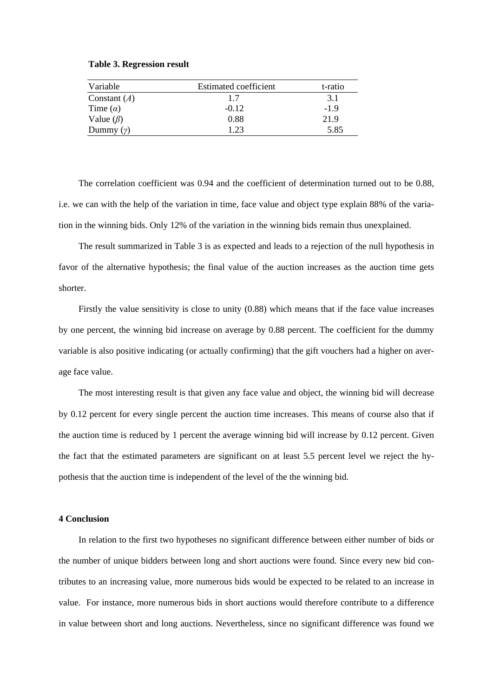|  | <b>Table 3. Regression result</b> |  |
|--|-----------------------------------|--|
|--|-----------------------------------|--|

| Variable        | <b>Estimated coefficient</b> | t-ratio |
|-----------------|------------------------------|---------|
| Constant $(A)$  | 1.7                          | 3.1     |
| Time $(a)$      | $-0.12$                      | $-1.9$  |
| Value $(\beta)$ | 0.88                         | 21.9    |
| Dummy $(y)$     | 1.23                         | 5.85    |

The correlation coefficient was 0.94 and the coefficient of determination turned out to be 0.88, i.e. we can with the help of the variation in time, face value and object type explain 88% of the variation in the winning bids. Only 12% of the variation in the winning bids remain thus unexplained.

The result summarized in Table 3 is as expected and leads to a rejection of the null hypothesis in favor of the alternative hypothesis; the final value of the auction increases as the auction time gets shorter.

Firstly the value sensitivity is close to unity (0.88) which means that if the face value increases by one percent, the winning bid increase on average by 0.88 percent. The coefficient for the dummy variable is also positive indicating (or actually confirming) that the gift vouchers had a higher on average face value.

The most interesting result is that given any face value and object, the winning bid will decrease by 0.12 percent for every single percent the auction time increases. This means of course also that if the auction time is reduced by 1 percent the average winning bid will increase by 0.12 percent. Given the fact that the estimated parameters are significant on at least 5.5 percent level we reject the hypothesis that the auction time is independent of the level of the the winning bid.

## **4 Conclusion**

In relation to the first two hypotheses no significant difference between either number of bids or the number of unique bidders between long and short auctions were found. Since every new bid contributes to an increasing value, more numerous bids would be expected to be related to an increase in value. For instance, more numerous bids in short auctions would therefore contribute to a difference in value between short and long auctions. Nevertheless, since no significant difference was found we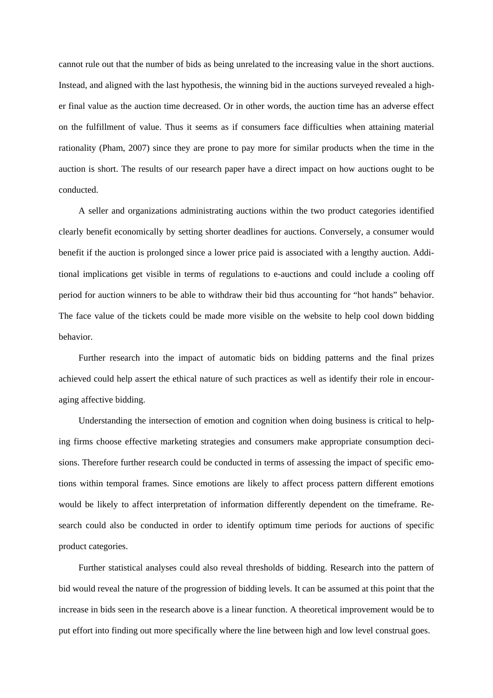cannot rule out that the number of bids as being unrelated to the increasing value in the short auctions. Instead, and aligned with the last hypothesis, the winning bid in the auctions surveyed revealed a higher final value as the auction time decreased. Or in other words, the auction time has an adverse effect on the fulfillment of value. Thus it seems as if consumers face difficulties when attaining material rationality (Pham, 2007) since they are prone to pay more for similar products when the time in the auction is short. The results of our research paper have a direct impact on how auctions ought to be conducted.

A seller and organizations administrating auctions within the two product categories identified clearly benefit economically by setting shorter deadlines for auctions. Conversely, a consumer would benefit if the auction is prolonged since a lower price paid is associated with a lengthy auction. Additional implications get visible in terms of regulations to e-auctions and could include a cooling off period for auction winners to be able to withdraw their bid thus accounting for "hot hands" behavior. The face value of the tickets could be made more visible on the website to help cool down bidding behavior.

Further research into the impact of automatic bids on bidding patterns and the final prizes achieved could help assert the ethical nature of such practices as well as identify their role in encouraging affective bidding.

Understanding the intersection of emotion and cognition when doing business is critical to helping firms choose effective marketing strategies and consumers make appropriate consumption decisions. Therefore further research could be conducted in terms of assessing the impact of specific emotions within temporal frames. Since emotions are likely to affect process pattern different emotions would be likely to affect interpretation of information differently dependent on the timeframe. Research could also be conducted in order to identify optimum time periods for auctions of specific product categories.

Further statistical analyses could also reveal thresholds of bidding. Research into the pattern of bid would reveal the nature of the progression of bidding levels. It can be assumed at this point that the increase in bids seen in the research above is a linear function. A theoretical improvement would be to put effort into finding out more specifically where the line between high and low level construal goes.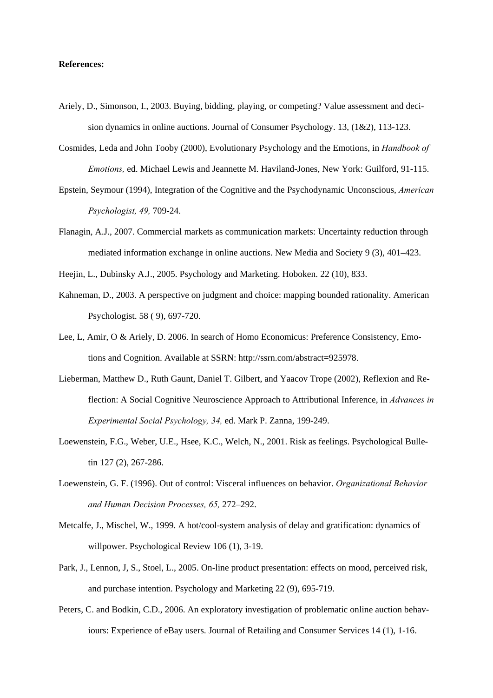# **References:**

- Ariely, D., Simonson, I., 2003. Buying, bidding, playing, or competing? Value assessment and decision dynamics in online auctions. Journal of Consumer Psychology. 13, (1&2), 113-123.
- Cosmides, Leda and John Tooby (2000), Evolutionary Psychology and the Emotions, in *Handbook of Emotions,* ed. Michael Lewis and Jeannette M. Haviland-Jones, New York: Guilford, 91-115.
- Epstein, Seymour (1994), Integration of the Cognitive and the Psychodynamic Unconscious, *American Psychologist, 49,* 709-24.
- Flanagin, A.J., 2007. Commercial markets as communication markets: Uncertainty reduction through mediated information exchange in online auctions. New Media and Society 9 (3), 401–423.
- Heejin, L., Dubinsky A.J., 2005. Psychology and Marketing. Hoboken. 22 (10), 833.
- Kahneman, D., 2003. A perspective on judgment and choice: mapping bounded rationality. American Psychologist. 58 ( 9), 697-720.
- Lee, L, Amir, O & Ariely, D. 2006. In search of Homo Economicus: Preference Consistency, Emotions and Cognition. Available at SSRN: http://ssrn.com/abstract=925978.
- Lieberman, Matthew D., Ruth Gaunt, Daniel T. Gilbert, and Yaacov Trope (2002), Reflexion and Reflection: A Social Cognitive Neuroscience Approach to Attributional Inference, in *Advances in Experimental Social Psychology, 34,* ed. Mark P. Zanna, 199-249.
- Loewenstein, F.G., Weber, U.E., Hsee, K.C., Welch, N., 2001. Risk as feelings. Psychological Bulletin 127 (2), 267-286.
- Loewenstein, G. F. (1996). Out of control: Visceral influences on behavior. *Organizational Behavior and Human Decision Processes, 65,* 272–292.
- Metcalfe, J., Mischel, W., 1999. A hot/cool-system analysis of delay and gratification: dynamics of willpower. Psychological Review 106 (1), 3-19.
- Park, J., Lennon, J, S., Stoel, L., 2005. On-line product presentation: effects on mood, perceived risk, and purchase intention. Psychology and Marketing 22 (9), 695-719.
- Peters, C. and Bodkin, C.D., 2006. An exploratory investigation of problematic online auction behaviours: Experience of eBay users. Journal of Retailing and Consumer Services 14 (1), 1-16.